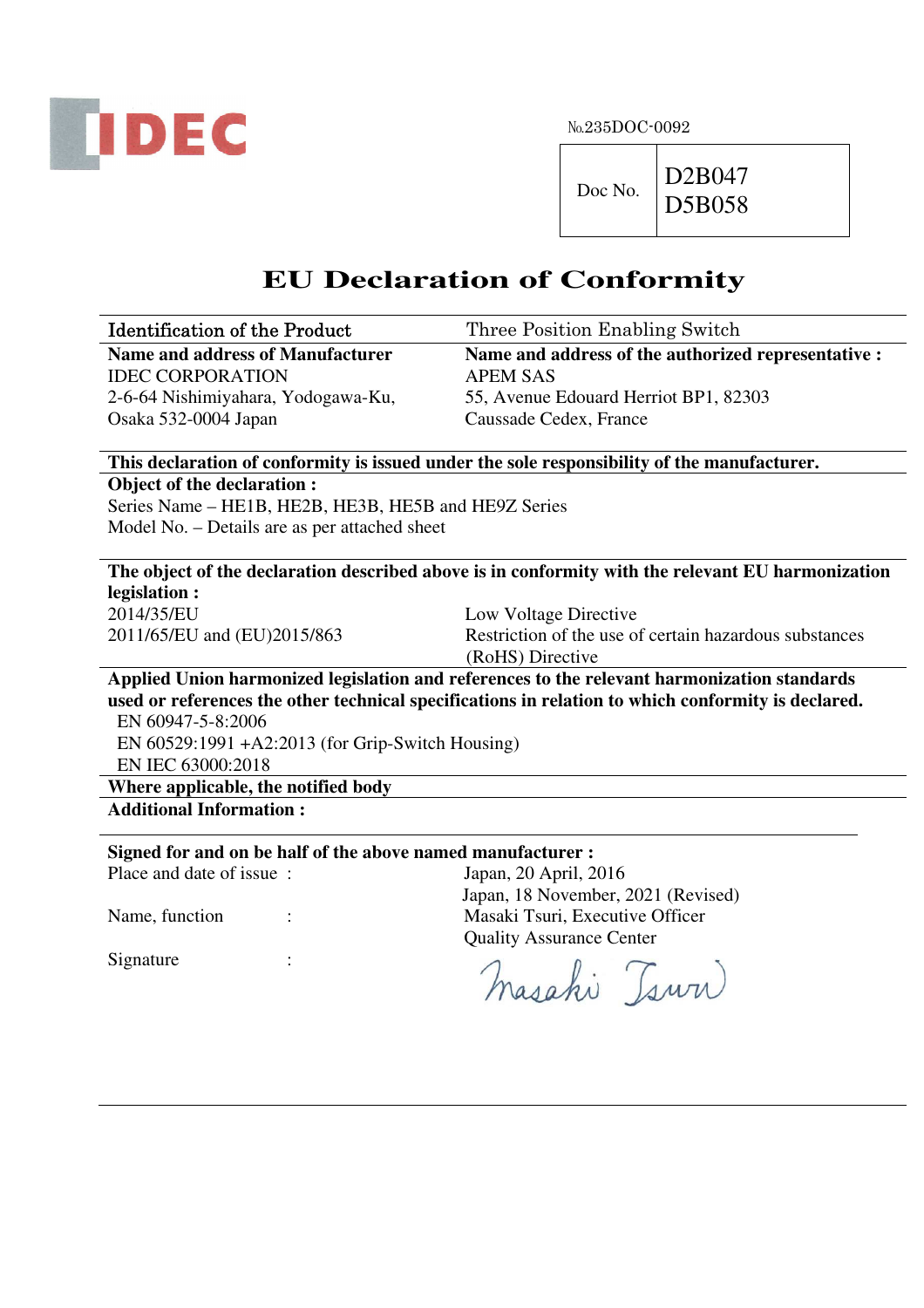

№235DOC-0092

## **EU Declaration of Conformity**

| <b>Identification of the Product</b>                        | Three Position Enabling Switch                                                                     |
|-------------------------------------------------------------|----------------------------------------------------------------------------------------------------|
| <b>Name and address of Manufacturer</b>                     | Name and address of the authorized representative :                                                |
| <b>IDEC CORPORATION</b>                                     | <b>APEM SAS</b>                                                                                    |
| 2-6-64 Nishimiyahara, Yodogawa-Ku,                          | 55, Avenue Edouard Herriot BP1, 82303                                                              |
| Osaka 532-0004 Japan                                        | Caussade Cedex, France                                                                             |
|                                                             |                                                                                                    |
|                                                             | This declaration of conformity is issued under the sole responsibility of the manufacturer.        |
| Object of the declaration:                                  |                                                                                                    |
| Series Name - HE1B, HE2B, HE3B, HE5B and HE9Z Series        |                                                                                                    |
| Model No. - Details are as per attached sheet               |                                                                                                    |
|                                                             |                                                                                                    |
|                                                             | The object of the declaration described above is in conformity with the relevant EU harmonization  |
| legislation :                                               |                                                                                                    |
| 2014/35/EU                                                  | Low Voltage Directive                                                                              |
| 2011/65/EU and (EU)2015/863                                 | Restriction of the use of certain hazardous substances                                             |
|                                                             | (RoHS) Directive                                                                                   |
|                                                             | Applied Union harmonized legislation and references to the relevant harmonization standards        |
|                                                             | used or references the other technical specifications in relation to which conformity is declared. |
| EN 60947-5-8:2006                                           |                                                                                                    |
| EN 60529:1991 + A2:2013 (for Grip-Switch Housing)           |                                                                                                    |
| EN IEC 63000:2018                                           |                                                                                                    |
| Where applicable, the notified body                         |                                                                                                    |
| <b>Additional Information:</b>                              |                                                                                                    |
| Signed for and on be half of the above named manufacturer : |                                                                                                    |
| Place and date of issue:                                    | Japan, 20 April, 2016                                                                              |
|                                                             | Japan, 18 November, 2021 (Revised)                                                                 |
| Name, function                                              | Masaki Tsuri, Executive Officer                                                                    |
|                                                             | <b>Quality Assurance Center</b>                                                                    |
| Signature                                                   |                                                                                                    |
|                                                             | masahi Tsww                                                                                        |
|                                                             |                                                                                                    |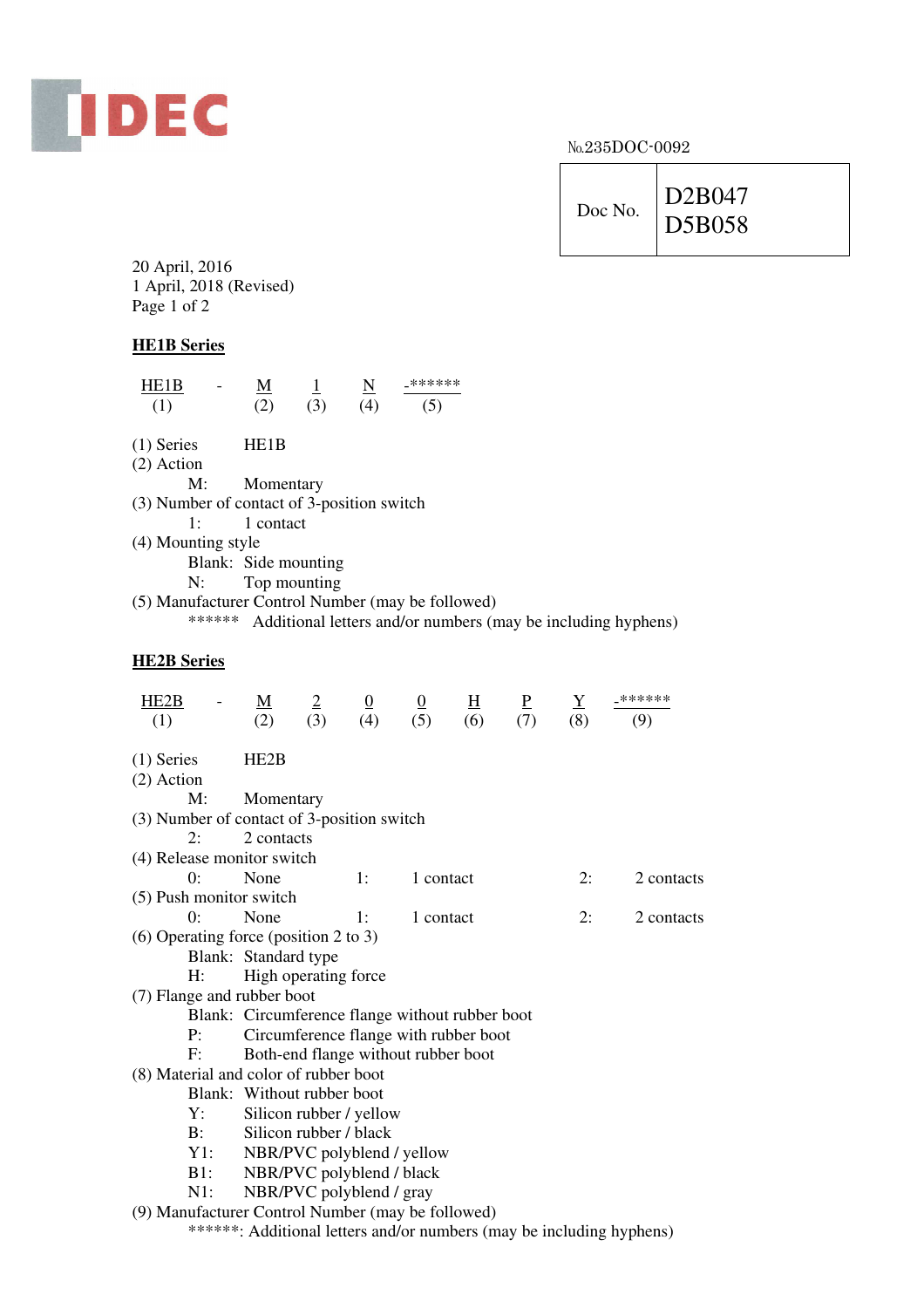

No.235DOC-0092

| Doc No. | D2B047 |
|---------|--------|
|         | D5B058 |
|         |        |

20 April, 2016 1 April, 2018 (Revised) Page 1 of 2

## **HE1B Series**

| $\frac{\text{HE1B}}{(1)} \quad - \quad \frac{\text{M}}{(2)} \quad \frac{1}{(3)} \quad \frac{\text{N}}{(4)} \quad \frac{2^{******}}{(5)}$                                                                                                                         |                      |  |  |  |                                                                     |
|------------------------------------------------------------------------------------------------------------------------------------------------------------------------------------------------------------------------------------------------------------------|----------------------|--|--|--|---------------------------------------------------------------------|
|                                                                                                                                                                                                                                                                  |                      |  |  |  |                                                                     |
| $(1)$ Series HE1B                                                                                                                                                                                                                                                |                      |  |  |  |                                                                     |
| $(2)$ Action                                                                                                                                                                                                                                                     |                      |  |  |  |                                                                     |
|                                                                                                                                                                                                                                                                  | M: Momentary         |  |  |  |                                                                     |
| (3) Number of contact of 3-position switch                                                                                                                                                                                                                       |                      |  |  |  |                                                                     |
|                                                                                                                                                                                                                                                                  | 1: 1 contact         |  |  |  |                                                                     |
| (4) Mounting style                                                                                                                                                                                                                                               |                      |  |  |  |                                                                     |
|                                                                                                                                                                                                                                                                  | Blank: Side mounting |  |  |  |                                                                     |
|                                                                                                                                                                                                                                                                  | N: Top mounting      |  |  |  |                                                                     |
| (5) Manufacturer Control Number (may be followed)                                                                                                                                                                                                                |                      |  |  |  |                                                                     |
|                                                                                                                                                                                                                                                                  |                      |  |  |  | ****** Additional letters and/or numbers (may be including hyphens) |
| <b>HE2B Series</b>                                                                                                                                                                                                                                               |                      |  |  |  |                                                                     |
| $\frac{\text{HE2B}}{(1)} \quad - \quad \frac{\text{M}}{(2)} \quad \frac{2}{(3)} \quad \frac{0}{(4)} \quad \frac{0}{(5)} \quad \frac{\text{H}}{(6)} \quad \frac{\text{P}}{(7)} \quad \frac{\text{Y}}{(8)} \quad \frac{-\text{x}+\text{x}+\text{x}+\text{x}}{(9)}$ |                      |  |  |  |                                                                     |
| $(1)$ Series HE2B<br>$(2)$ Action                                                                                                                                                                                                                                |                      |  |  |  |                                                                     |
| $M_{\rm H}$ , $M_{\rm C}$ meantains                                                                                                                                                                                                                              |                      |  |  |  |                                                                     |

| IVI.                                       | <b>NIOHEIRALY</b>                               |                      |           |    |            |  |  |  |
|--------------------------------------------|-------------------------------------------------|----------------------|-----------|----|------------|--|--|--|
| (3) Number of contact of 3-position switch |                                                 |                      |           |    |            |  |  |  |
| 2:                                         | 2 contacts                                      |                      |           |    |            |  |  |  |
| (4) Release monitor switch                 |                                                 |                      |           |    |            |  |  |  |
| 0:                                         | None                                            | $\exists$ :          | 1 contact | 2: | 2 contacts |  |  |  |
| (5) Push monitor switch                    |                                                 |                      |           |    |            |  |  |  |
| 0:                                         | None                                            | $\sim$ 1:            | 1 contact | 2: | 2 contacts |  |  |  |
| $(6)$ Operating force (position 2 to 3)    |                                                 |                      |           |    |            |  |  |  |
|                                            |                                                 | Blank: Standard type |           |    |            |  |  |  |
| H:                                         | High operating force                            |                      |           |    |            |  |  |  |
| (7) Flange and rubber boot                 |                                                 |                      |           |    |            |  |  |  |
|                                            | Blank: Circumference flange without rubber boot |                      |           |    |            |  |  |  |
| $P$ :                                      | Circumference flange with rubber boot           |                      |           |    |            |  |  |  |
| F:                                         | Both-end flange without rubber boot             |                      |           |    |            |  |  |  |
| (8) Material and color of rubber boot      |                                                 |                      |           |    |            |  |  |  |
|                                            | Blank: Without rubber boot                      |                      |           |    |            |  |  |  |
| Y:                                         | Silicon rubber / yellow                         |                      |           |    |            |  |  |  |
| <b>B</b> :                                 | Silicon rubber / black                          |                      |           |    |            |  |  |  |
| Y1:                                        | NBR/PVC polyblend / yellow                      |                      |           |    |            |  |  |  |
| B1:                                        | NBR/PVC polyblend / black                       |                      |           |    |            |  |  |  |
|                                            |                                                 |                      |           |    |            |  |  |  |

N1: NBR/PVC polyblend / gray

(9) Manufacturer Control Number (may be followed)

\*\*\*\*\*\*: Additional letters and/or numbers (may be including hyphens)